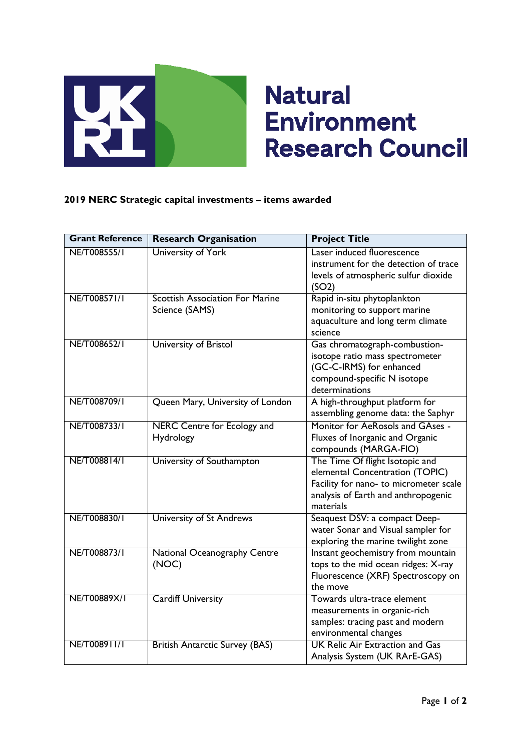

## **Natural Environment Research Council**

## **2019 NERC Strategic capital investments – items awarded**

| <b>Grant Reference</b> | <b>Research Organisation</b>                             | <b>Project Title</b>                                                                                                                                             |
|------------------------|----------------------------------------------------------|------------------------------------------------------------------------------------------------------------------------------------------------------------------|
| NE/T008555/I           | University of York                                       | Laser induced fluorescence<br>instrument for the detection of trace<br>levels of atmospheric sulfur dioxide<br>(SO2)                                             |
| NE/T008571/1           | <b>Scottish Association For Marine</b><br>Science (SAMS) | Rapid in-situ phytoplankton<br>monitoring to support marine<br>aquaculture and long term climate<br>science                                                      |
| NE/T008652/1           | University of Bristol                                    | Gas chromatograph-combustion-<br>isotope ratio mass spectrometer<br>(GC-C-IRMS) for enhanced<br>compound-specific N isotope<br>determinations                    |
| NE/T008709/1           | Queen Mary, University of London                         | A high-throughput platform for<br>assembling genome data: the Saphyr                                                                                             |
| NE/T008733/I           | <b>NERC Centre for Ecology and</b><br>Hydrology          | Monitor for AeRosols and GAses -<br>Fluxes of Inorganic and Organic<br>compounds (MARGA-FIO)                                                                     |
| NE/T008814/1           | University of Southampton                                | The Time Of flight Isotopic and<br>elemental Concentration (TOPIC)<br>Facility for nano- to micrometer scale<br>analysis of Earth and anthropogenic<br>materials |
| NE/T008830/I           | University of St Andrews                                 | Seaquest DSV: a compact Deep-<br>water Sonar and Visual sampler for<br>exploring the marine twilight zone                                                        |
| NE/T008873/1           | <b>National Oceanography Centre</b><br>(NOC)             | Instant geochemistry from mountain<br>tops to the mid ocean ridges: X-ray<br>Fluorescence (XRF) Spectroscopy on<br>the move                                      |
| NE/T00889X/I           | <b>Cardiff University</b>                                | Towards ultra-trace element<br>measurements in organic-rich<br>samples: tracing past and modern<br>environmental changes                                         |
| NE/T008911/1           | <b>British Antarctic Survey (BAS)</b>                    | <b>UK Relic Air Extraction and Gas</b><br>Analysis System (UK RArE-GAS)                                                                                          |